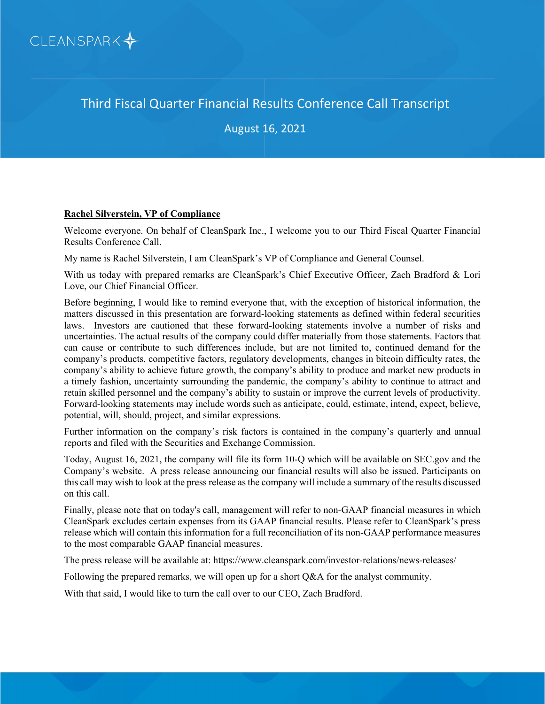

Third Fiscal Quarter Financial Results Conference Call Transcript

August 16, 2021

### **Rachel Silverstein, VP of Compliance**

Welcome everyone. On behalf of CleanSpark Inc., I welcome you to our Third Fiscal Quarter Financial Results Conference Call.

My name is Rachel Silverstein, I am CleanSpark's VP of Compliance and General Counsel.

With us today with prepared remarks are CleanSpark's Chief Executive Officer, Zach Bradford & Lori Love, our Chief Financial Officer.

Before beginning, I would like to remind everyone that, with the exception of historical information, the matters discussed in this presentation are forward-looking statements as defined within federal securities laws. Investors are cautioned that these forward-looking statements involve a number of risks and uncertainties. The actual results of the company could differ materially from those statements. Factors that can cause or contribute to such differences include, but are not limited to, continued demand for the company's products, competitive factors, regulatory developments, changes in bitcoin difficulty rates, the company's ability to achieve future growth, the company's ability to produce and market new products in a timely fashion, uncertainty surrounding the pandemic, the company's ability to continue to attract and retain skilled personnel and the company's ability to sustain or improve the current levels of productivity. Forward-looking statements may include words such as anticipate, could, estimate, intend, expect, believe, potential, will, should, project, and similar expressions.

Further information on the company's risk factors is contained in the company's quarterly and annual reports and filed with the Securities and Exchange Commission.

Today, August 16, 2021, the company will file its form 10-Q which will be available on SEC.gov and the Company's website. A press release announcing our financial results will also be issued. Participants on this call may wish to look at the press release as the company will include a summary of the results discussed on this call.

Finally, please note that on today's call, management will refer to non-GAAP financial measures in which CleanSpark excludes certain expenses from its GAAP financial results. Please refer to CleanSpark's press release which will contain this information for a full reconciliation of its non-GAAP performance measures to the most comparable GAAP financial measures.

The press release will be available at: https://www.cleanspark.com/investor-relations/news-releases/

Following the prepared remarks, we will open up for a short Q&A for the analyst community.

With that said, I would like to turn the call over to our CEO, Zach Bradford.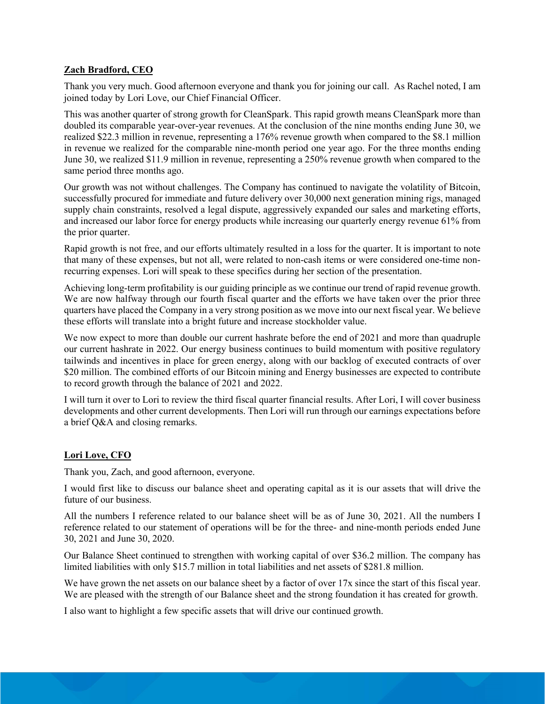## **Zach Bradford, CEO**

Thank you very much. Good afternoon everyone and thank you for joining our call. As Rachel noted, I am joined today by Lori Love, our Chief Financial Officer.

This was another quarter of strong growth for CleanSpark. This rapid growth means CleanSpark more than doubled its comparable year-over-year revenues. At the conclusion of the nine months ending June 30, we realized \$22.3 million in revenue, representing a 176% revenue growth when compared to the \$8.1 million in revenue we realized for the comparable nine-month period one year ago. For the three months ending June 30, we realized \$11.9 million in revenue, representing a 250% revenue growth when compared to the same period three months ago.

Our growth was not without challenges. The Company has continued to navigate the volatility of Bitcoin, successfully procured for immediate and future delivery over 30,000 next generation mining rigs, managed supply chain constraints, resolved a legal dispute, aggressively expanded our sales and marketing efforts, and increased our labor force for energy products while increasing our quarterly energy revenue 61% from the prior quarter.

Rapid growth is not free, and our efforts ultimately resulted in a loss for the quarter. It is important to note that many of these expenses, but not all, were related to non-cash items or were considered one-time nonrecurring expenses. Lori will speak to these specifics during her section of the presentation.

Achieving long-term profitability is our guiding principle as we continue our trend of rapid revenue growth. We are now halfway through our fourth fiscal quarter and the efforts we have taken over the prior three quarters have placed the Company in a very strong position as we move into our next fiscal year. We believe these efforts will translate into a bright future and increase stockholder value.

We now expect to more than double our current hashrate before the end of 2021 and more than quadruple our current hashrate in 2022. Our energy business continues to build momentum with positive regulatory tailwinds and incentives in place for green energy, along with our backlog of executed contracts of over \$20 million. The combined efforts of our Bitcoin mining and Energy businesses are expected to contribute to record growth through the balance of 2021 and 2022.

I will turn it over to Lori to review the third fiscal quarter financial results. After Lori, I will cover business developments and other current developments. Then Lori will run through our earnings expectations before a brief Q&A and closing remarks.

## **Lori Love, CFO**

Thank you, Zach, and good afternoon, everyone.

I would first like to discuss our balance sheet and operating capital as it is our assets that will drive the future of our business.

All the numbers I reference related to our balance sheet will be as of June 30, 2021. All the numbers I reference related to our statement of operations will be for the three- and nine-month periods ended June 30, 2021 and June 30, 2020.

Our Balance Sheet continued to strengthen with working capital of over \$36.2 million. The company has limited liabilities with only \$15.7 million in total liabilities and net assets of \$281.8 million.

We have grown the net assets on our balance sheet by a factor of over 17x since the start of this fiscal year. We are pleased with the strength of our Balance sheet and the strong foundation it has created for growth.

I also want to highlight a few specific assets that will drive our continued growth.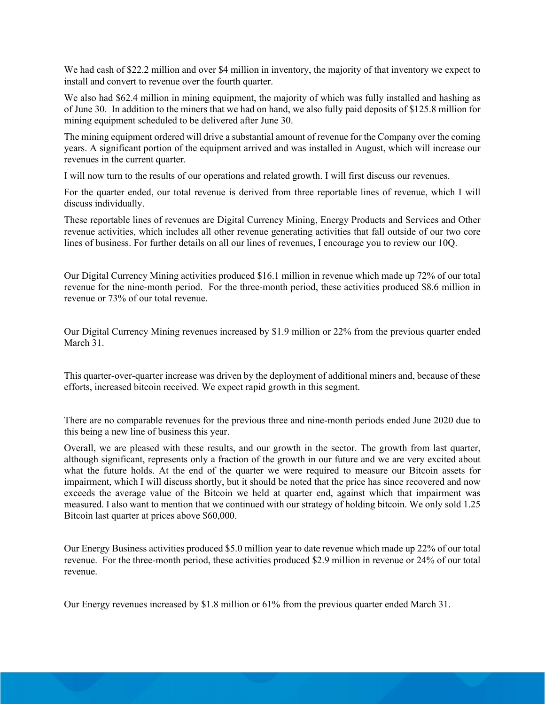We had cash of \$22.2 million and over \$4 million in inventory, the majority of that inventory we expect to install and convert to revenue over the fourth quarter.

We also had \$62.4 million in mining equipment, the majority of which was fully installed and hashing as of June 30. In addition to the miners that we had on hand, we also fully paid deposits of \$125.8 million for mining equipment scheduled to be delivered after June 30.

The mining equipment ordered will drive a substantial amount of revenue for the Company over the coming years. A significant portion of the equipment arrived and was installed in August, which will increase our revenues in the current quarter.

I will now turn to the results of our operations and related growth. I will first discuss our revenues.

For the quarter ended, our total revenue is derived from three reportable lines of revenue, which I will discuss individually.

These reportable lines of revenues are Digital Currency Mining, Energy Products and Services and Other revenue activities, which includes all other revenue generating activities that fall outside of our two core lines of business. For further details on all our lines of revenues, I encourage you to review our 10Q.

Our Digital Currency Mining activities produced \$16.1 million in revenue which made up 72% of our total revenue for the nine-month period. For the three-month period, these activities produced \$8.6 million in revenue or 73% of our total revenue.

Our Digital Currency Mining revenues increased by \$1.9 million or 22% from the previous quarter ended March 31.

This quarter-over-quarter increase was driven by the deployment of additional miners and, because of these efforts, increased bitcoin received. We expect rapid growth in this segment.

There are no comparable revenues for the previous three and nine-month periods ended June 2020 due to this being a new line of business this year.

Overall, we are pleased with these results, and our growth in the sector. The growth from last quarter, although significant, represents only a fraction of the growth in our future and we are very excited about what the future holds. At the end of the quarter we were required to measure our Bitcoin assets for impairment, which I will discuss shortly, but it should be noted that the price has since recovered and now exceeds the average value of the Bitcoin we held at quarter end, against which that impairment was measured. I also want to mention that we continued with our strategy of holding bitcoin. We only sold 1.25 Bitcoin last quarter at prices above \$60,000.

Our Energy Business activities produced \$5.0 million year to date revenue which made up 22% of our total revenue. For the three-month period, these activities produced \$2.9 million in revenue or 24% of our total revenue.

Our Energy revenues increased by \$1.8 million or 61% from the previous quarter ended March 31.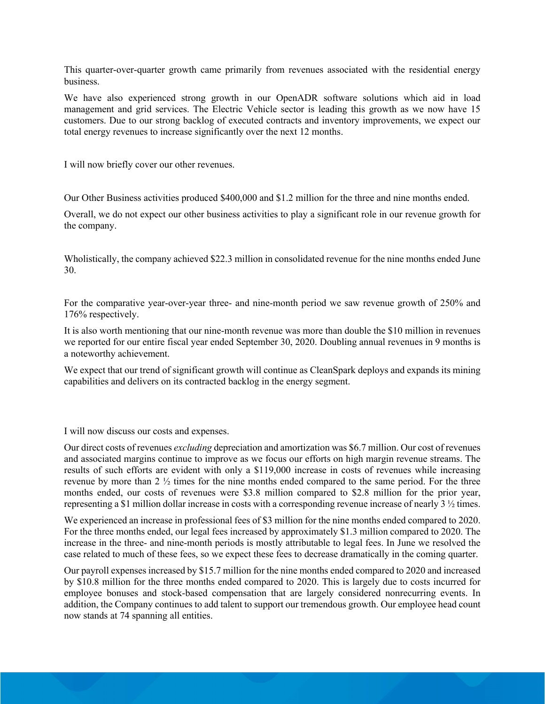This quarter-over-quarter growth came primarily from revenues associated with the residential energy business.

We have also experienced strong growth in our OpenADR software solutions which aid in load management and grid services. The Electric Vehicle sector is leading this growth as we now have 15 customers. Due to our strong backlog of executed contracts and inventory improvements, we expect our total energy revenues to increase significantly over the next 12 months.

I will now briefly cover our other revenues.

Our Other Business activities produced \$400,000 and \$1.2 million for the three and nine months ended.

Overall, we do not expect our other business activities to play a significant role in our revenue growth for the company.

Wholistically, the company achieved \$22.3 million in consolidated revenue for the nine months ended June 30.

For the comparative year-over-year three- and nine-month period we saw revenue growth of 250% and 176% respectively.

It is also worth mentioning that our nine-month revenue was more than double the \$10 million in revenues we reported for our entire fiscal year ended September 30, 2020. Doubling annual revenues in 9 months is a noteworthy achievement.

We expect that our trend of significant growth will continue as CleanSpark deploys and expands its mining capabilities and delivers on its contracted backlog in the energy segment.

I will now discuss our costs and expenses.

Our direct costs of revenues *excluding* depreciation and amortization was \$6.7 million. Our cost of revenues and associated margins continue to improve as we focus our efforts on high margin revenue streams. The results of such efforts are evident with only a \$119,000 increase in costs of revenues while increasing revenue by more than 2 ½ times for the nine months ended compared to the same period. For the three months ended, our costs of revenues were \$3.8 million compared to \$2.8 million for the prior year, representing a \$1 million dollar increase in costs with a corresponding revenue increase of nearly 3 ½ times.

We experienced an increase in professional fees of \$3 million for the nine months ended compared to 2020. For the three months ended, our legal fees increased by approximately \$1.3 million compared to 2020. The increase in the three- and nine-month periods is mostly attributable to legal fees. In June we resolved the case related to much of these fees, so we expect these fees to decrease dramatically in the coming quarter.

Our payroll expenses increased by \$15.7 million for the nine months ended compared to 2020 and increased by \$10.8 million for the three months ended compared to 2020. This is largely due to costs incurred for employee bonuses and stock-based compensation that are largely considered nonrecurring events. In addition, the Company continues to add talent to support our tremendous growth. Our employee head count now stands at 74 spanning all entities.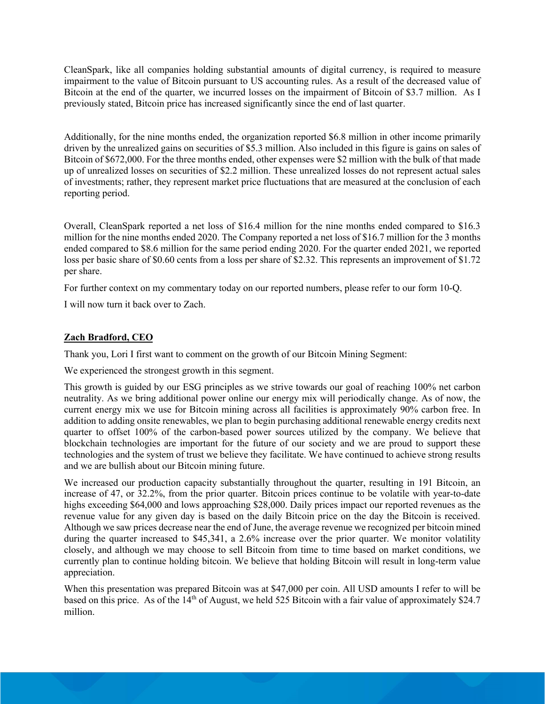CleanSpark, like all companies holding substantial amounts of digital currency, is required to measure impairment to the value of Bitcoin pursuant to US accounting rules. As a result of the decreased value of Bitcoin at the end of the quarter, we incurred losses on the impairment of Bitcoin of \$3.7 million. As I previously stated, Bitcoin price has increased significantly since the end of last quarter.

Additionally, for the nine months ended, the organization reported \$6.8 million in other income primarily driven by the unrealized gains on securities of \$5.3 million. Also included in this figure is gains on sales of Bitcoin of \$672,000. For the three months ended, other expenses were \$2 million with the bulk of that made up of unrealized losses on securities of \$2.2 million. These unrealized losses do not represent actual sales of investments; rather, they represent market price fluctuations that are measured at the conclusion of each reporting period.

Overall, CleanSpark reported a net loss of \$16.4 million for the nine months ended compared to \$16.3 million for the nine months ended 2020. The Company reported a net loss of \$16.7 million for the 3 months ended compared to \$8.6 million for the same period ending 2020. For the quarter ended 2021, we reported loss per basic share of \$0.60 cents from a loss per share of \$2.32. This represents an improvement of \$1.72 per share.

For further context on my commentary today on our reported numbers, please refer to our form 10-Q.

I will now turn it back over to Zach.

# **Zach Bradford, CEO**

Thank you, Lori I first want to comment on the growth of our Bitcoin Mining Segment:

We experienced the strongest growth in this segment.

This growth is guided by our ESG principles as we strive towards our goal of reaching 100% net carbon neutrality. As we bring additional power online our energy mix will periodically change. As of now, the current energy mix we use for Bitcoin mining across all facilities is approximately 90% carbon free. In addition to adding onsite renewables, we plan to begin purchasing additional renewable energy credits next quarter to offset 100% of the carbon-based power sources utilized by the company. We believe that blockchain technologies are important for the future of our society and we are proud to support these technologies and the system of trust we believe they facilitate. We have continued to achieve strong results and we are bullish about our Bitcoin mining future.

We increased our production capacity substantially throughout the quarter, resulting in 191 Bitcoin, an increase of 47, or 32.2%, from the prior quarter. Bitcoin prices continue to be volatile with year-to-date highs exceeding \$64,000 and lows approaching \$28,000. Daily prices impact our reported revenues as the revenue value for any given day is based on the daily Bitcoin price on the day the Bitcoin is received. Although we saw prices decrease near the end of June, the average revenue we recognized per bitcoin mined during the quarter increased to \$45,341, a 2.6% increase over the prior quarter. We monitor volatility closely, and although we may choose to sell Bitcoin from time to time based on market conditions, we currently plan to continue holding bitcoin. We believe that holding Bitcoin will result in long-term value appreciation.

When this presentation was prepared Bitcoin was at \$47,000 per coin. All USD amounts I refer to will be based on this price. As of the  $14<sup>th</sup>$  of August, we held 525 Bitcoin with a fair value of approximately \$24.7 million.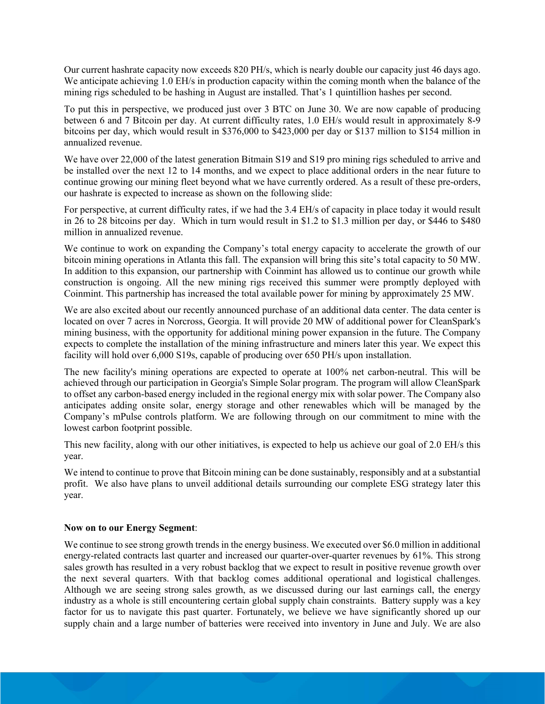Our current hashrate capacity now exceeds 820 PH/s, which is nearly double our capacity just 46 days ago. We anticipate achieving 1.0 EH/s in production capacity within the coming month when the balance of the mining rigs scheduled to be hashing in August are installed. That's 1 quintillion hashes per second.

To put this in perspective, we produced just over 3 BTC on June 30. We are now capable of producing between 6 and 7 Bitcoin per day. At current difficulty rates, 1.0 EH/s would result in approximately 8-9 bitcoins per day, which would result in \$376,000 to \$423,000 per day or \$137 million to \$154 million in annualized revenue.

We have over 22,000 of the latest generation Bitmain S19 and S19 pro mining rigs scheduled to arrive and be installed over the next 12 to 14 months, and we expect to place additional orders in the near future to continue growing our mining fleet beyond what we have currently ordered. As a result of these pre-orders, our hashrate is expected to increase as shown on the following slide:

For perspective, at current difficulty rates, if we had the 3.4 EH/s of capacity in place today it would result in 26 to 28 bitcoins per day. Which in turn would result in \$1.2 to \$1.3 million per day, or \$446 to \$480 million in annualized revenue.

We continue to work on expanding the Company's total energy capacity to accelerate the growth of our bitcoin mining operations in Atlanta this fall. The expansion will bring this site's total capacity to 50 MW. In addition to this expansion, our partnership with Coinmint has allowed us to continue our growth while construction is ongoing. All the new mining rigs received this summer were promptly deployed with Coinmint. This partnership has increased the total available power for mining by approximately 25 MW.

We are also excited about our recently announced purchase of an additional data center. The data center is located on over 7 acres in Norcross, Georgia. It will provide 20 MW of additional power for CleanSpark's mining business, with the opportunity for additional mining power expansion in the future. The Company expects to complete the installation of the mining infrastructure and miners later this year. We expect this facility will hold over 6,000 S19s, capable of producing over 650 PH/s upon installation.

The new facility's mining operations are expected to operate at 100% net carbon-neutral. This will be achieved through our participation in Georgia's Simple Solar program. The program will allow CleanSpark to offset any carbon-based energy included in the regional energy mix with solar power. The Company also anticipates adding onsite solar, energy storage and other renewables which will be managed by the Company's mPulse controls platform. We are following through on our commitment to mine with the lowest carbon footprint possible.

This new facility, along with our other initiatives, is expected to help us achieve our goal of 2.0 EH/s this year.

We intend to continue to prove that Bitcoin mining can be done sustainably, responsibly and at a substantial profit. We also have plans to unveil additional details surrounding our complete ESG strategy later this year.

## **Now on to our Energy Segment**:

We continue to see strong growth trends in the energy business. We executed over \$6.0 million in additional energy-related contracts last quarter and increased our quarter-over-quarter revenues by 61%. This strong sales growth has resulted in a very robust backlog that we expect to result in positive revenue growth over the next several quarters. With that backlog comes additional operational and logistical challenges. Although we are seeing strong sales growth, as we discussed during our last earnings call, the energy industry as a whole is still encountering certain global supply chain constraints. Battery supply was a key factor for us to navigate this past quarter. Fortunately, we believe we have significantly shored up our supply chain and a large number of batteries were received into inventory in June and July. We are also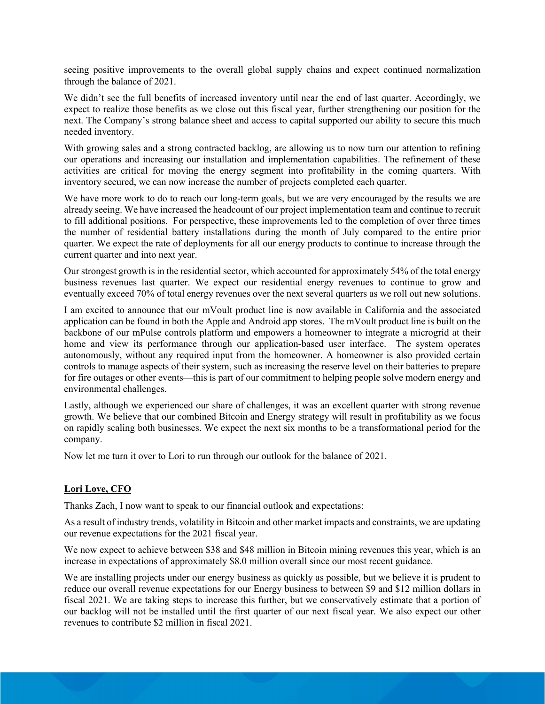seeing positive improvements to the overall global supply chains and expect continued normalization through the balance of 2021.

We didn't see the full benefits of increased inventory until near the end of last quarter. Accordingly, we expect to realize those benefits as we close out this fiscal year, further strengthening our position for the next. The Company's strong balance sheet and access to capital supported our ability to secure this much needed inventory.

With growing sales and a strong contracted backlog, are allowing us to now turn our attention to refining our operations and increasing our installation and implementation capabilities. The refinement of these activities are critical for moving the energy segment into profitability in the coming quarters. With inventory secured, we can now increase the number of projects completed each quarter.

We have more work to do to reach our long-term goals, but we are very encouraged by the results we are already seeing. We have increased the headcount of our project implementation team and continue to recruit to fill additional positions. For perspective, these improvements led to the completion of over three times the number of residential battery installations during the month of July compared to the entire prior quarter. We expect the rate of deployments for all our energy products to continue to increase through the current quarter and into next year.

Our strongest growth is in the residential sector, which accounted for approximately 54% of the total energy business revenues last quarter. We expect our residential energy revenues to continue to grow and eventually exceed 70% of total energy revenues over the next several quarters as we roll out new solutions.

I am excited to announce that our mVoult product line is now available in California and the associated application can be found in both the Apple and Android app stores. The mVoult product line is built on the backbone of our mPulse controls platform and empowers a homeowner to integrate a microgrid at their home and view its performance through our application-based user interface. The system operates autonomously, without any required input from the homeowner. A homeowner is also provided certain controls to manage aspects of their system, such as increasing the reserve level on their batteries to prepare for fire outages or other events—this is part of our commitment to helping people solve modern energy and environmental challenges.

Lastly, although we experienced our share of challenges, it was an excellent quarter with strong revenue growth. We believe that our combined Bitcoin and Energy strategy will result in profitability as we focus on rapidly scaling both businesses. We expect the next six months to be a transformational period for the company.

Now let me turn it over to Lori to run through our outlook for the balance of 2021.

# **Lori Love, CFO**

Thanks Zach, I now want to speak to our financial outlook and expectations:

As a result of industry trends, volatility in Bitcoin and other market impacts and constraints, we are updating our revenue expectations for the 2021 fiscal year.

We now expect to achieve between \$38 and \$48 million in Bitcoin mining revenues this year, which is an increase in expectations of approximately \$8.0 million overall since our most recent guidance.

We are installing projects under our energy business as quickly as possible, but we believe it is prudent to reduce our overall revenue expectations for our Energy business to between \$9 and \$12 million dollars in fiscal 2021. We are taking steps to increase this further, but we conservatively estimate that a portion of our backlog will not be installed until the first quarter of our next fiscal year. We also expect our other revenues to contribute \$2 million in fiscal 2021.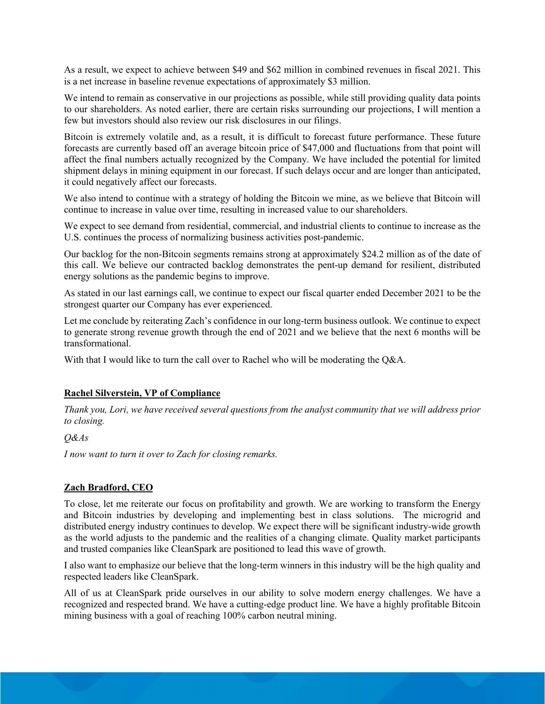As a result, we expect to achieve between \$49 and \$62 million in combined revenues in fiscal 2021. This is a net increase in baseline revenue expectations of approximately \$3 million.

We intend to remain as conservative in our projections as possible, while still providing quality data points to our shareholders. As noted earlier, there are certain risks surrounding our projections, I will mention a few but investors should also review our risk disclosures in our filings.

Bitcoin is extremely volatile and, as a result, it is difficult to forecast future performance. These future forecasts are currently based off an average bitcoin price of \$47,000 and fluctuations from that point will affect the final numbers actually recognized by the Company. We have included the potential for limited shipment delays in mining equipment in our forecast. If such delays occur and are longer than anticipated, it could negatively affect our forecasts.

We also intend to continue with a strategy of holding the Bitcoin we mine, as we believe that Bitcoin will continue to increase in value over time, resulting in increased value to our shareholders.

We expect to see demand from residential, commercial, and industrial clients to continue to increase as the U.S. continues the process of normalizing business activities post-pandemic.

Our backlog for the non-Bitcoin segments remains strong at approximately \$24.2 million as of the date of this call. We believe our contracted backlog demonstrates the pent-up demand for resilient, distributed energy solutions as the pandemic begins to improve.

As stated in our last earnings call, we continue to expect our fiscal quarter ended December 2021 to be the strongest quarter our Company has ever experienced.

Let me conclude by reiterating Zach's confidence in our long-term business outlook. We continue to expect to generate strong revenue growth through the end of 2021 and we believe that the next 6 months will be transformational.

With that I would like to turn the call over to Rachel who will be moderating the Q&A.

#### **Rachel Silverstein, VP of Compliance**

*Thank you, Lori, we have received several questions from the analyst community that we will address prior to closing.*

*Q&As*

*I now want to turn it over to Zach for closing remarks.*

#### **Zach Bradford, CEO**

To close, let me reiterate our focus on profitability and growth. We are working to transform the Energy and Bitcoin industries by developing and implementing best in class solutions. The microgrid and distributed energy industry continues to develop. We expect there will be significant industry-wide growth as the world adjusts to the pandemic and the realities of a changing climate. Quality market participants and trusted companies like CleanSpark are positioned to lead this wave of growth.

I also want to emphasize our believe that the long-term winners in this industry will be the high quality and respected leaders like CleanSpark.

All of us at CleanSpark pride ourselves in our ability to solve modern energy challenges. We have a recognized and respected brand. We have a cutting-edge product line. We have a highly profitable Bitcoin mining business with a goal of reaching 100% carbon neutral mining.